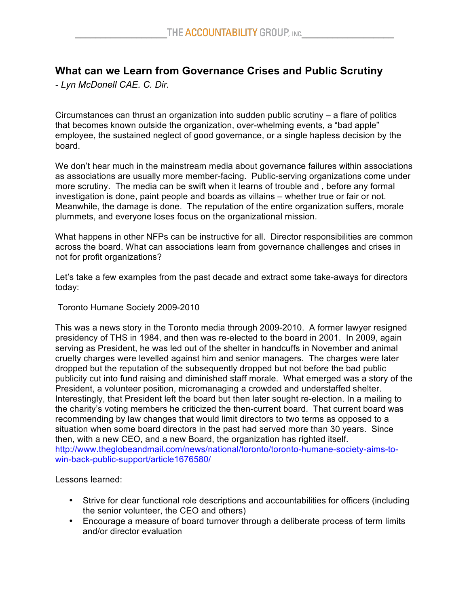## **What can we Learn from Governance Crises and Public Scrutiny**

*- Lyn McDonell CAE. C. Dir.*

Circumstances can thrust an organization into sudden public scrutiny – a flare of politics that becomes known outside the organization, over-whelming events, a "bad apple" employee, the sustained neglect of good governance, or a single hapless decision by the board.

We don't hear much in the mainstream media about governance failures within associations as associations are usually more member-facing. Public-serving organizations come under more scrutiny. The media can be swift when it learns of trouble and , before any formal investigation is done, paint people and boards as villains – whether true or fair or not. Meanwhile, the damage is done. The reputation of the entire organization suffers, morale plummets, and everyone loses focus on the organizational mission.

What happens in other NFPs can be instructive for all. Director responsibilities are common across the board. What can associations learn from governance challenges and crises in not for profit organizations?

Let's take a few examples from the past decade and extract some take-aways for directors today:

Toronto Humane Society 2009-2010

This was a news story in the Toronto media through 2009-2010. A former lawyer resigned presidency of THS in 1984, and then was re-elected to the board in 2001. In 2009, again serving as President, he was led out of the shelter in handcuffs in November and animal cruelty charges were levelled against him and senior managers. The charges were later dropped but the reputation of the subsequently dropped but not before the bad public publicity cut into fund raising and diminished staff morale. What emerged was a story of the President, a volunteer position, micromanaging a crowded and understaffed shelter. Interestingly, that President left the board but then later sought re-election. In a mailing to the charity's voting members he criticized the then-current board. That current board was recommending by law changes that would limit directors to two terms as opposed to a situation when some board directors in the past had served more than 30 years. Since then, with a new CEO, and a new Board, the organization has righted itself. http://www.theglobeandmail.com/news/national/toronto/toronto-humane-society-aims-towin-back-public-support/article1676580/

Lessons learned:

- Strive for clear functional role descriptions and accountabilities for officers (including the senior volunteer, the CEO and others)
- Encourage a measure of board turnover through a deliberate process of term limits and/or director evaluation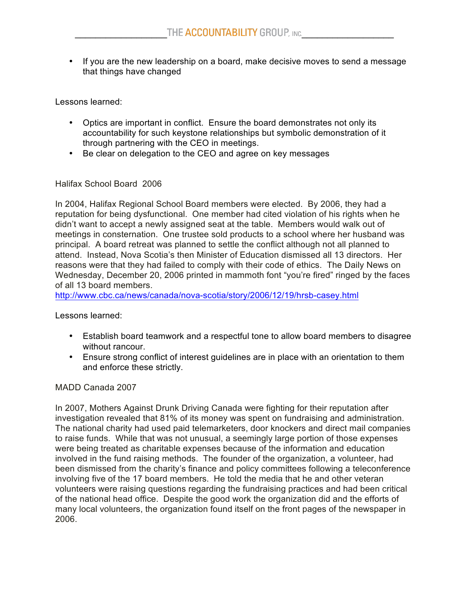• If you are the new leadership on a board, make decisive moves to send a message that things have changed

Lessons learned:

- Optics are important in conflict. Ensure the board demonstrates not only its accountability for such keystone relationships but symbolic demonstration of it through partnering with the CEO in meetings.
- Be clear on delegation to the CEO and agree on key messages

## Halifax School Board 2006

In 2004, Halifax Regional School Board members were elected. By 2006, they had a reputation for being dysfunctional. One member had cited violation of his rights when he didn't want to accept a newly assigned seat at the table. Members would walk out of meetings in consternation. One trustee sold products to a school where her husband was principal. A board retreat was planned to settle the conflict although not all planned to attend. Instead, Nova Scotia's then Minister of Education dismissed all 13 directors. Her reasons were that they had failed to comply with their code of ethics. The Daily News on Wednesday, December 20, 2006 printed in mammoth font "you're fired" ringed by the faces of all 13 board members.

http://www.cbc.ca/news/canada/nova-scotia/story/2006/12/19/hrsb-casey.html

Lessons learned:

- Establish board teamwork and a respectful tone to allow board members to disagree without rancour.
- Ensure strong conflict of interest guidelines are in place with an orientation to them and enforce these strictly.

## MADD Canada 2007

In 2007, Mothers Against Drunk Driving Canada were fighting for their reputation after investigation revealed that 81% of its money was spent on fundraising and administration. The national charity had used paid telemarketers, door knockers and direct mail companies to raise funds. While that was not unusual, a seemingly large portion of those expenses were being treated as charitable expenses because of the information and education involved in the fund raising methods. The founder of the organization, a volunteer, had been dismissed from the charity's finance and policy committees following a teleconference involving five of the 17 board members. He told the media that he and other veteran volunteers were raising questions regarding the fundraising practices and had been critical of the national head office. Despite the good work the organization did and the efforts of many local volunteers, the organization found itself on the front pages of the newspaper in 2006.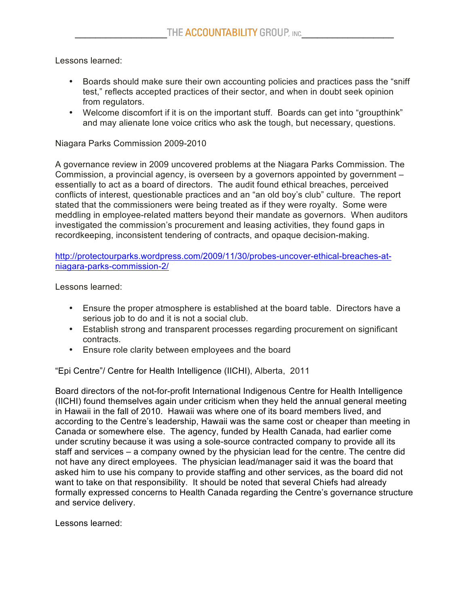Lessons learned:

- Boards should make sure their own accounting policies and practices pass the "sniff test," reflects accepted practices of their sector, and when in doubt seek opinion from regulators.
- Welcome discomfort if it is on the important stuff. Boards can get into "groupthink" and may alienate lone voice critics who ask the tough, but necessary, questions.

Niagara Parks Commission 2009-2010

A governance review in 2009 uncovered problems at the Niagara Parks Commission. The Commission, a provincial agency, is overseen by a governors appointed by government – essentially to act as a board of directors. The audit found ethical breaches, perceived conflicts of interest, questionable practices and an "an old boy's club" culture. The report stated that the commissioners were being treated as if they were royalty. Some were meddling in employee-related matters beyond their mandate as governors. When auditors investigated the commission's procurement and leasing activities, they found gaps in recordkeeping, inconsistent tendering of contracts, and opaque decision-making.

http://protectourparks.wordpress.com/2009/11/30/probes-uncover-ethical-breaches-atniagara-parks-commission-2/

Lessons learned:

- Ensure the proper atmosphere is established at the board table. Directors have a serious job to do and it is not a social club.
- Establish strong and transparent processes regarding procurement on significant contracts.
- Ensure role clarity between employees and the board

"Epi Centre"/ Centre for Health Intelligence (IICHI), Alberta, 2011

Board directors of the not-for-profit International Indigenous Centre for Health Intelligence (IICHI) found themselves again under criticism when they held the annual general meeting in Hawaii in the fall of 2010. Hawaii was where one of its board members lived, and according to the Centre's leadership, Hawaii was the same cost or cheaper than meeting in Canada or somewhere else. The agency, funded by Health Canada, had earlier come under scrutiny because it was using a sole-source contracted company to provide all its staff and services – a company owned by the physician lead for the centre. The centre did not have any direct employees. The physician lead/manager said it was the board that asked him to use his company to provide staffing and other services, as the board did not want to take on that responsibility. It should be noted that several Chiefs had already formally expressed concerns to Health Canada regarding the Centre's governance structure and service delivery.

Lessons learned: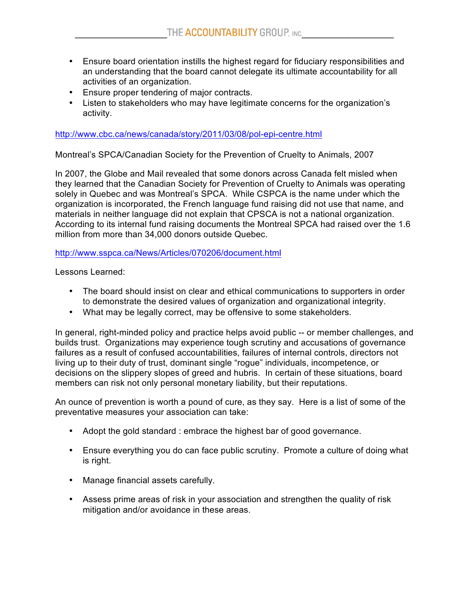- Ensure board orientation instills the highest regard for fiduciary responsibilities and an understanding that the board cannot delegate its ultimate accountability for all activities of an organization.
- Ensure proper tendering of major contracts.
- Listen to stakeholders who may have legitimate concerns for the organization's activity.

http://www.cbc.ca/news/canada/story/2011/03/08/pol-epi-centre.html

Montreal's SPCA/Canadian Society for the Prevention of Cruelty to Animals, 2007

In 2007, the Globe and Mail revealed that some donors across Canada felt misled when they learned that the Canadian Society for Prevention of Cruelty to Animals was operating solely in Quebec and was Montreal's SPCA. While CSPCA is the name under which the organization is incorporated, the French language fund raising did not use that name, and materials in neither language did not explain that CPSCA is not a national organization. According to its internal fund raising documents the Montreal SPCA had raised over the 1.6 million from more than 34,000 donors outside Quebec.

http://www.sspca.ca/News/Articles/070206/document.html

Lessons Learned:

- The board should insist on clear and ethical communications to supporters in order to demonstrate the desired values of organization and organizational integrity.
- What may be legally correct, may be offensive to some stakeholders.

In general, right-minded policy and practice helps avoid public -- or member challenges, and builds trust. Organizations may experience tough scrutiny and accusations of governance failures as a result of confused accountabilities, failures of internal controls, directors not living up to their duty of trust, dominant single "rogue" individuals, incompetence, or decisions on the slippery slopes of greed and hubris. In certain of these situations, board members can risk not only personal monetary liability, but their reputations.

An ounce of prevention is worth a pound of cure, as they say. Here is a list of some of the preventative measures your association can take:

- Adopt the gold standard : embrace the highest bar of good governance.
- Ensure everything you do can face public scrutiny. Promote a culture of doing what is right.
- Manage financial assets carefully.
- Assess prime areas of risk in your association and strengthen the quality of risk mitigation and/or avoidance in these areas.